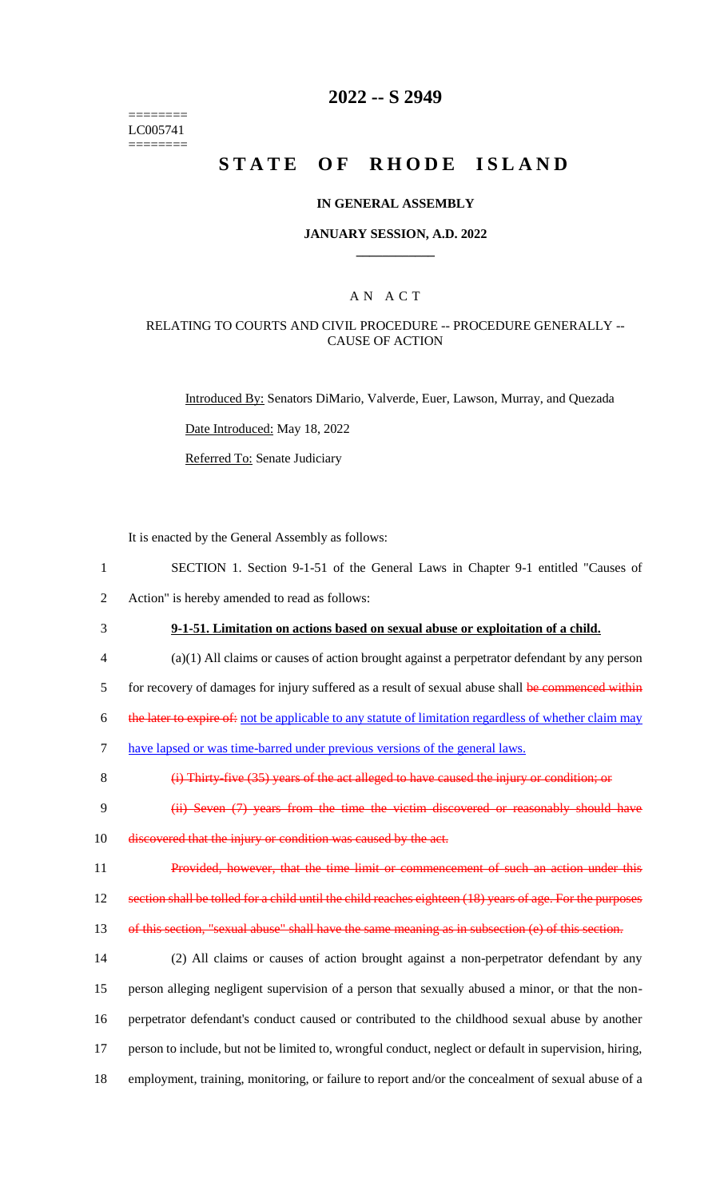======== LC005741 ========

# **2022 -- S 2949**

# **STATE OF RHODE ISLAND**

### **IN GENERAL ASSEMBLY**

### **JANUARY SESSION, A.D. 2022 \_\_\_\_\_\_\_\_\_\_\_\_**

### A N A C T

### RELATING TO COURTS AND CIVIL PROCEDURE -- PROCEDURE GENERALLY -- CAUSE OF ACTION

Introduced By: Senators DiMario, Valverde, Euer, Lawson, Murray, and Quezada

Date Introduced: May 18, 2022

Referred To: Senate Judiciary

It is enacted by the General Assembly as follows:

- 1 SECTION 1. Section 9-1-51 of the General Laws in Chapter 9-1 entitled "Causes of 2 Action" is hereby amended to read as follows:
- 3 **9-1-51. Limitation on actions based on sexual abuse or exploitation of a child.**
- 4 (a)(1) All claims or causes of action brought against a perpetrator defendant by any person

5 for recovery of damages for injury suffered as a result of sexual abuse shall be commenced within

6 the later to expire of: not be applicable to any statute of limitation regardless of whether claim may

7 have lapsed or was time-barred under previous versions of the general laws.

8 (i) Thirty-five (35) years of the act alleged to have caused the injury or condition; or

- 9 (ii) Seven (7) years from the time the victim discovered or reasonably should have
- 10 discovered that the injury or condition was caused by the act.
- 11 Provided, however, that the time limit or commencement of such an action under this

12 section shall be tolled for a child until the child reaches eighteen (18) years of age. For the purposes

13 of this section, "sexual abuse" shall have the same meaning as in subsection (e) of this section.

 (2) All claims or causes of action brought against a non-perpetrator defendant by any person alleging negligent supervision of a person that sexually abused a minor, or that the non- perpetrator defendant's conduct caused or contributed to the childhood sexual abuse by another person to include, but not be limited to, wrongful conduct, neglect or default in supervision, hiring, employment, training, monitoring, or failure to report and/or the concealment of sexual abuse of a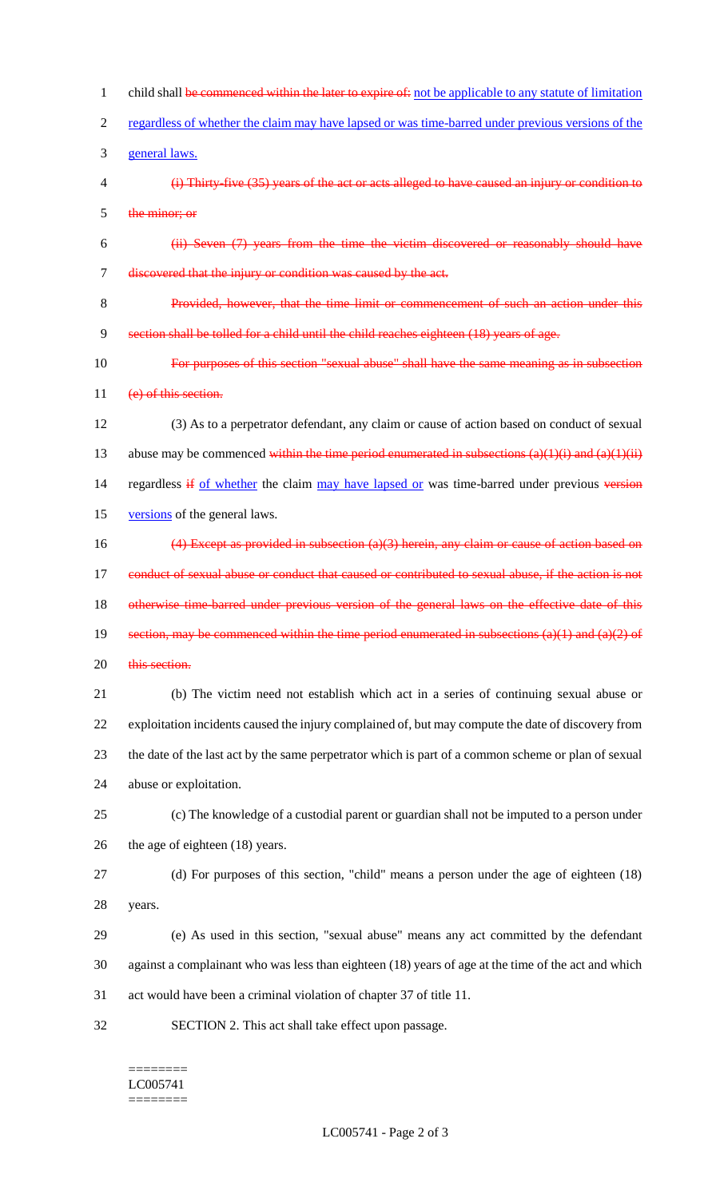1 child shall be commenced within the later to expire of: not be applicable to any statute of limitation regardless of whether the claim may have lapsed or was time-barred under previous versions of the general laws. (i) Thirty-five (35) years of the act or acts alleged to have caused an injury or condition to the minor; or (ii) Seven (7) years from the time the victim discovered or reasonably should have discovered that the injury or condition was caused by the act. Provided, however, that the time limit or commencement of such an action under this section shall be tolled for a child until the child reaches eighteen (18) years of age. For purposes of this section "sexual abuse" shall have the same meaning as in subsection 11 (e) of this section. (3) As to a perpetrator defendant, any claim or cause of action based on conduct of sexual 13 abuse may be commenced within the time period enumerated in subsections  $(a)(1)(i)$  and  $(a)(1)(ii)$ 14 regardless if of whether the claim may have lapsed or was time-barred under previous version versions of the general laws. (4) Except as provided in subsection (a)(3) herein, any claim or cause of action based on 17 conduct of sexual abuse or conduct that caused or contributed to sexual abuse, if the action is not 18 otherwise time-barred under previous version of the general laws on the effective date of this 19 section, may be commenced within the time period enumerated in subsections  $(a)(1)$  and  $(a)(2)$  of 20 this section. (b) The victim need not establish which act in a series of continuing sexual abuse or exploitation incidents caused the injury complained of, but may compute the date of discovery from the date of the last act by the same perpetrator which is part of a common scheme or plan of sexual abuse or exploitation. (c) The knowledge of a custodial parent or guardian shall not be imputed to a person under the age of eighteen (18) years. (d) For purposes of this section, "child" means a person under the age of eighteen (18) years. (e) As used in this section, "sexual abuse" means any act committed by the defendant against a complainant who was less than eighteen (18) years of age at the time of the act and which act would have been a criminal violation of chapter 37 of title 11. SECTION 2. This act shall take effect upon passage.

#### ======== LC005741 ========